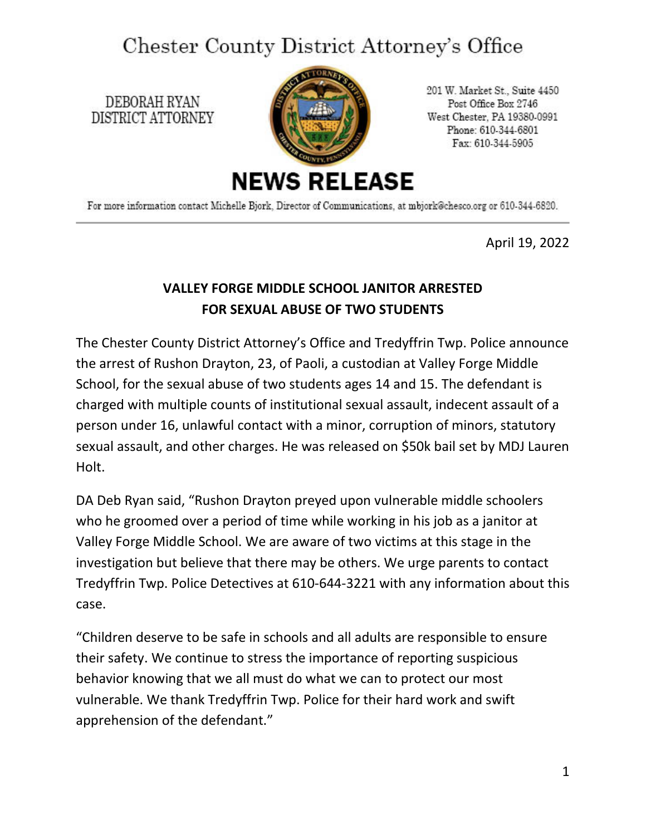## Chester County District Attorney's Office

DEBORAH RYAN DISTRICT ATTORNEY



201 W. Market St., Suite 4450 Post Office Box 2746 West Chester, PA 19380-0991 Phone: 610-344-6801 Fax: 610-344-5905

For more information contact Michelle Bjork, Director of Communications, at mbjork@chesco.org or 610-344-6820.

April 19, 2022

## **VALLEY FORGE MIDDLE SCHOOL JANITOR ARRESTED FOR SEXUAL ABUSE OF TWO STUDENTS**

The Chester County District Attorney's Office and Tredyffrin Twp. Police announce the arrest of Rushon Drayton, 23, of Paoli, a custodian at Valley Forge Middle School, for the sexual abuse of two students ages 14 and 15. The defendant is charged with multiple counts of institutional sexual assault, indecent assault of a person under 16, unlawful contact with a minor, corruption of minors, statutory sexual assault, and other charges. He was released on \$50k bail set by MDJ Lauren Holt.

DA Deb Ryan said, "Rushon Drayton preyed upon vulnerable middle schoolers who he groomed over a period of time while working in his job as a janitor at Valley Forge Middle School. We are aware of two victims at this stage in the investigation but believe that there may be others. We urge parents to contact Tredyffrin Twp. Police Detectives at 610-644-3221 with any information about this case.

"Children deserve to be safe in schools and all adults are responsible to ensure their safety. We continue to stress the importance of reporting suspicious behavior knowing that we all must do what we can to protect our most vulnerable. We thank Tredyffrin Twp. Police for their hard work and swift apprehension of the defendant."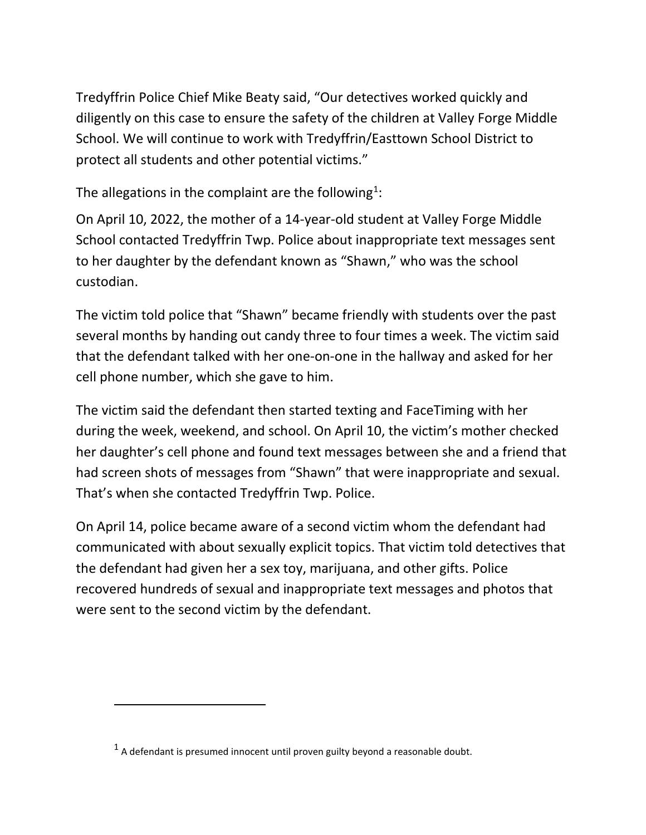Tredyffrin Police Chief Mike Beaty said, "Our detectives worked quickly and diligently on this case to ensure the safety of the children at Valley Forge Middle School. We will continue to work with Tredyffrin/Easttown School District to protect all students and other potential victims."

The allegations in the complaint are the following<sup>[1](#page-1-0)</sup>:

On April 10, 2022, the mother of a 14-year-old student at Valley Forge Middle School contacted Tredyffrin Twp. Police about inappropriate text messages sent to her daughter by the defendant known as "Shawn," who was the school custodian.

The victim told police that "Shawn" became friendly with students over the past several months by handing out candy three to four times a week. The victim said that the defendant talked with her one-on-one in the hallway and asked for her cell phone number, which she gave to him.

The victim said the defendant then started texting and FaceTiming with her during the week, weekend, and school. On April 10, the victim's mother checked her daughter's cell phone and found text messages between she and a friend that had screen shots of messages from "Shawn" that were inappropriate and sexual. That's when she contacted Tredyffrin Twp. Police.

On April 14, police became aware of a second victim whom the defendant had communicated with about sexually explicit topics. That victim told detectives that the defendant had given her a sex toy, marijuana, and other gifts. Police recovered hundreds of sexual and inappropriate text messages and photos that were sent to the second victim by the defendant.

<span id="page-1-0"></span> $<sup>1</sup>$  A defendant is presumed innocent until proven guilty beyond a reasonable doubt.</sup>